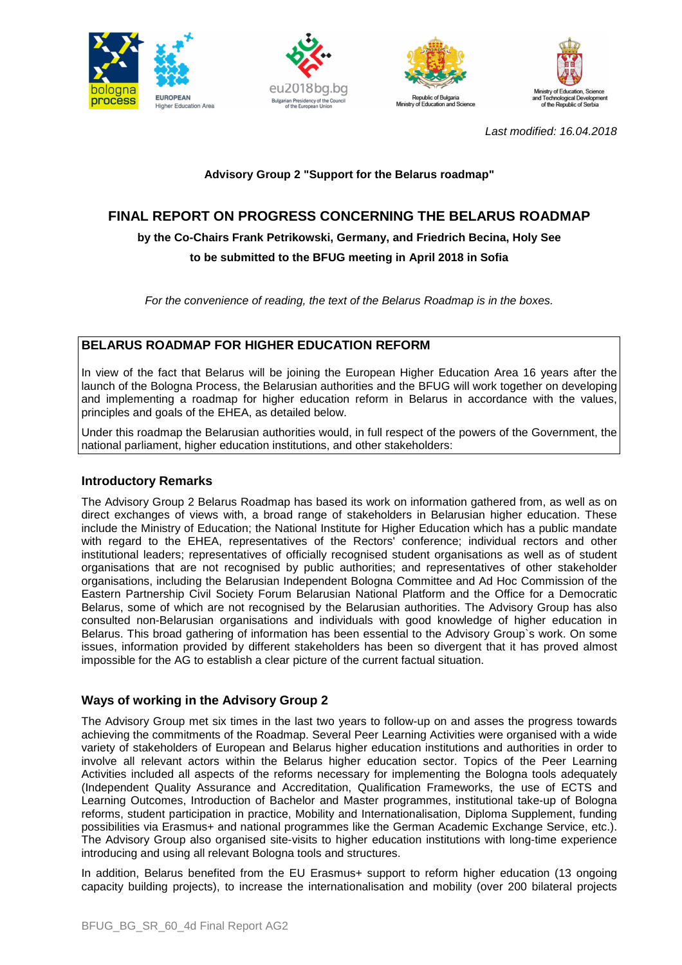







Last modified: 16.04.2018

# **Advisory Group 2 "Support for the Belarus roadmap"**

# **FINAL REPORT ON PROGRESS CONCERNING THE BELARUS ROADMAP**

**by the Co-Chairs Frank Petrikowski, Germany, and Friedrich Becina, Holy See** 

**to be submitted to the BFUG meeting in April 2018 in Sofia** 

For the convenience of reading, the text of the Belarus Roadmap is in the boxes.

# **BELARUS ROADMAP FOR HIGHER EDUCATION REFORM**

In view of the fact that Belarus will be joining the European Higher Education Area 16 years after the launch of the Bologna Process, the Belarusian authorities and the BFUG will work together on developing and implementing a roadmap for higher education reform in Belarus in accordance with the values, principles and goals of the EHEA, as detailed below.

Under this roadmap the Belarusian authorities would, in full respect of the powers of the Government, the national parliament, higher education institutions, and other stakeholders:

## **Introductory Remarks**

The Advisory Group 2 Belarus Roadmap has based its work on information gathered from, as well as on direct exchanges of views with, a broad range of stakeholders in Belarusian higher education. These include the Ministry of Education; the National Institute for Higher Education which has a public mandate with regard to the EHEA, representatives of the Rectors' conference; individual rectors and other institutional leaders; representatives of officially recognised student organisations as well as of student organisations that are not recognised by public authorities; and representatives of other stakeholder organisations, including the Belarusian Independent Bologna Committee and Ad Hoc Commission of the Eastern Partnership Civil Society Forum Belarusian National Platform and the Office for a Democratic Belarus, some of which are not recognised by the Belarusian authorities. The Advisory Group has also consulted non-Belarusian organisations and individuals with good knowledge of higher education in Belarus. This broad gathering of information has been essential to the Advisory Group`s work. On some issues, information provided by different stakeholders has been so divergent that it has proved almost impossible for the AG to establish a clear picture of the current factual situation.

## **Ways of working in the Advisory Group 2**

The Advisory Group met six times in the last two years to follow-up on and asses the progress towards achieving the commitments of the Roadmap. Several Peer Learning Activities were organised with a wide variety of stakeholders of European and Belarus higher education institutions and authorities in order to involve all relevant actors within the Belarus higher education sector. Topics of the Peer Learning Activities included all aspects of the reforms necessary for implementing the Bologna tools adequately (Independent Quality Assurance and Accreditation, Qualification Frameworks, the use of ECTS and Learning Outcomes, Introduction of Bachelor and Master programmes, institutional take-up of Bologna reforms, student participation in practice, Mobility and Internationalisation, Diploma Supplement, funding possibilities via Erasmus+ and national programmes like the German Academic Exchange Service, etc.). The Advisory Group also organised site-visits to higher education institutions with long-time experience introducing and using all relevant Bologna tools and structures.

In addition, Belarus benefited from the EU Erasmus+ support to reform higher education (13 ongoing capacity building projects), to increase the internationalisation and mobility (over 200 bilateral projects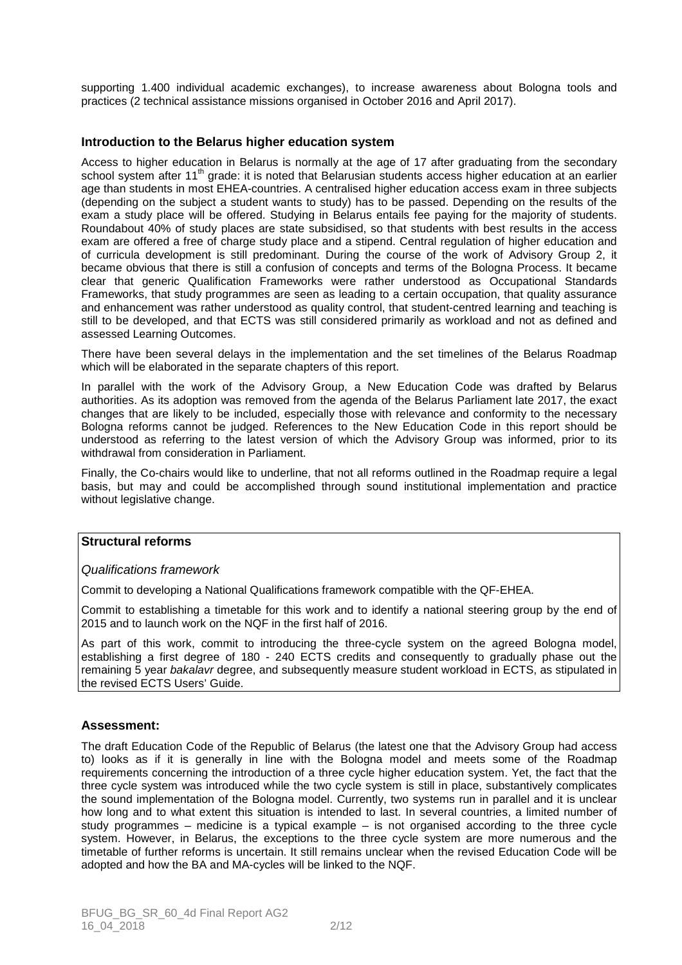supporting 1.400 individual academic exchanges), to increase awareness about Bologna tools and practices (2 technical assistance missions organised in October 2016 and April 2017).

## **Introduction to the Belarus higher education system**

Access to higher education in Belarus is normally at the age of 17 after graduating from the secondary school system after 11<sup>th</sup> grade: it is noted that Belarusian students access higher education at an earlier age than students in most EHEA-countries. A centralised higher education access exam in three subjects (depending on the subject a student wants to study) has to be passed. Depending on the results of the exam a study place will be offered. Studying in Belarus entails fee paying for the majority of students. Roundabout 40% of study places are state subsidised, so that students with best results in the access exam are offered a free of charge study place and a stipend. Central regulation of higher education and of curricula development is still predominant. During the course of the work of Advisory Group 2, it became obvious that there is still a confusion of concepts and terms of the Bologna Process. It became clear that generic Qualification Frameworks were rather understood as Occupational Standards Frameworks, that study programmes are seen as leading to a certain occupation, that quality assurance and enhancement was rather understood as quality control, that student-centred learning and teaching is still to be developed, and that ECTS was still considered primarily as workload and not as defined and assessed Learning Outcomes.

There have been several delays in the implementation and the set timelines of the Belarus Roadmap which will be elaborated in the separate chapters of this report.

In parallel with the work of the Advisory Group, a New Education Code was drafted by Belarus authorities. As its adoption was removed from the agenda of the Belarus Parliament late 2017, the exact changes that are likely to be included, especially those with relevance and conformity to the necessary Bologna reforms cannot be judged. References to the New Education Code in this report should be understood as referring to the latest version of which the Advisory Group was informed, prior to its withdrawal from consideration in Parliament.

Finally, the Co-chairs would like to underline, that not all reforms outlined in the Roadmap require a legal basis, but may and could be accomplished through sound institutional implementation and practice without legislative change.

### **Structural reforms**

### Qualifications framework

Commit to developing a National Qualifications framework compatible with the QF-EHEA.

Commit to establishing a timetable for this work and to identify a national steering group by the end of 2015 and to launch work on the NQF in the first half of 2016.

As part of this work, commit to introducing the three-cycle system on the agreed Bologna model, establishing a first degree of 180 - 240 ECTS credits and consequently to gradually phase out the remaining 5 year bakalavr degree, and subsequently measure student workload in ECTS, as stipulated in the revised ECTS Users' Guide.

### **Assessment:**

The draft Education Code of the Republic of Belarus (the latest one that the Advisory Group had access to) looks as if it is generally in line with the Bologna model and meets some of the Roadmap requirements concerning the introduction of a three cycle higher education system. Yet, the fact that the three cycle system was introduced while the two cycle system is still in place, substantively complicates the sound implementation of the Bologna model. Currently, two systems run in parallel and it is unclear how long and to what extent this situation is intended to last. In several countries, a limited number of study programmes – medicine is a typical example – is not organised according to the three cycle system. However, in Belarus, the exceptions to the three cycle system are more numerous and the timetable of further reforms is uncertain. It still remains unclear when the revised Education Code will be adopted and how the BA and MA-cycles will be linked to the NQF.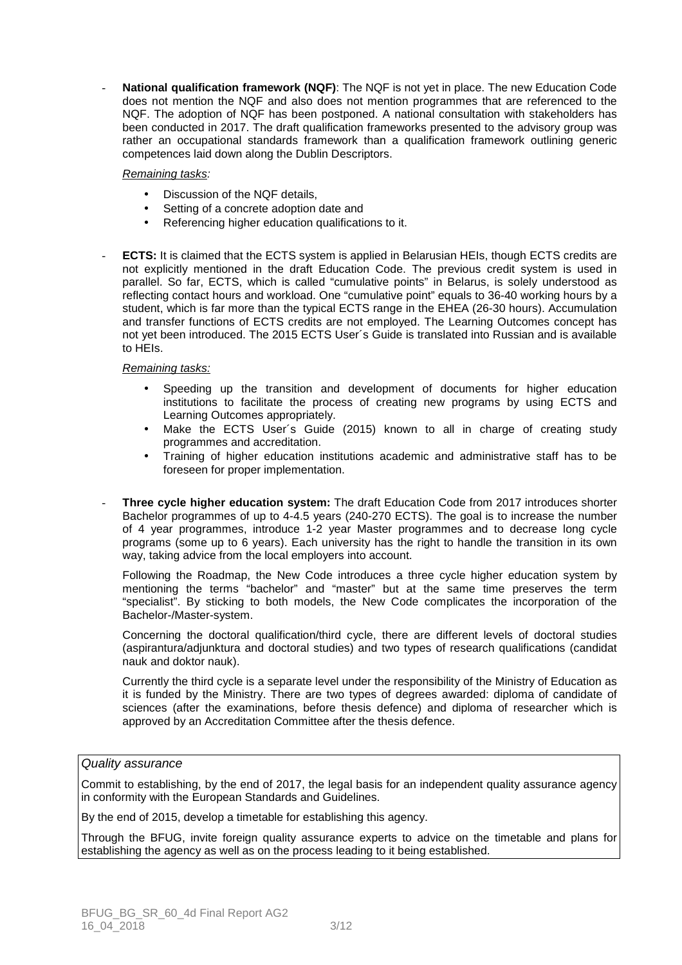National qualification framework (NQF): The NQF is not yet in place. The new Education Code does not mention the NQF and also does not mention programmes that are referenced to the NQF. The adoption of NQF has been postponed. A national consultation with stakeholders has been conducted in 2017. The draft qualification frameworks presented to the advisory group was rather an occupational standards framework than a qualification framework outlining generic competences laid down along the Dublin Descriptors.

#### Remaining tasks:

- Discussion of the NQF details,
- Setting of a concrete adoption date and
- Referencing higher education qualifications to it.
- **ECTS:** It is claimed that the ECTS system is applied in Belarusian HEIs, though ECTS credits are not explicitly mentioned in the draft Education Code. The previous credit system is used in parallel. So far, ECTS, which is called "cumulative points" in Belarus, is solely understood as reflecting contact hours and workload. One "cumulative point" equals to 36-40 working hours by a student, which is far more than the typical ECTS range in the EHEA (26-30 hours). Accumulation and transfer functions of ECTS credits are not employed. The Learning Outcomes concept has not yet been introduced. The 2015 ECTS User´s Guide is translated into Russian and is available to HEIs.

#### Remaining tasks:

- Speeding up the transition and development of documents for higher education institutions to facilitate the process of creating new programs by using ECTS and Learning Outcomes appropriately.
- Make the ECTS User´s Guide (2015) known to all in charge of creating study programmes and accreditation.
- Training of higher education institutions academic and administrative staff has to be foreseen for proper implementation.
- **Three cycle higher education system:** The draft Education Code from 2017 introduces shorter Bachelor programmes of up to 4-4.5 years (240-270 ECTS). The goal is to increase the number of 4 year programmes, introduce 1-2 year Master programmes and to decrease long cycle programs (some up to 6 years). Each university has the right to handle the transition in its own way, taking advice from the local employers into account.

Following the Roadmap, the New Code introduces a three cycle higher education system by mentioning the terms "bachelor" and "master" but at the same time preserves the term "specialist". By sticking to both models, the New Code complicates the incorporation of the Bachelor-/Master-system.

Concerning the doctoral qualification/third cycle, there are different levels of doctoral studies (aspirantura/adjunktura and doctoral studies) and two types of research qualifications (candidat nauk and doktor nauk).

Currently the third cycle is a separate level under the responsibility of the Ministry of Education as it is funded by the Ministry. There are two types of degrees awarded: diploma of candidate of sciences (after the examinations, before thesis defence) and diploma of researcher which is approved by an Accreditation Committee after the thesis defence.

### Quality assurance

Commit to establishing, by the end of 2017, the legal basis for an independent quality assurance agency in conformity with the European Standards and Guidelines.

By the end of 2015, develop a timetable for establishing this agency.

Through the BFUG, invite foreign quality assurance experts to advice on the timetable and plans for establishing the agency as well as on the process leading to it being established.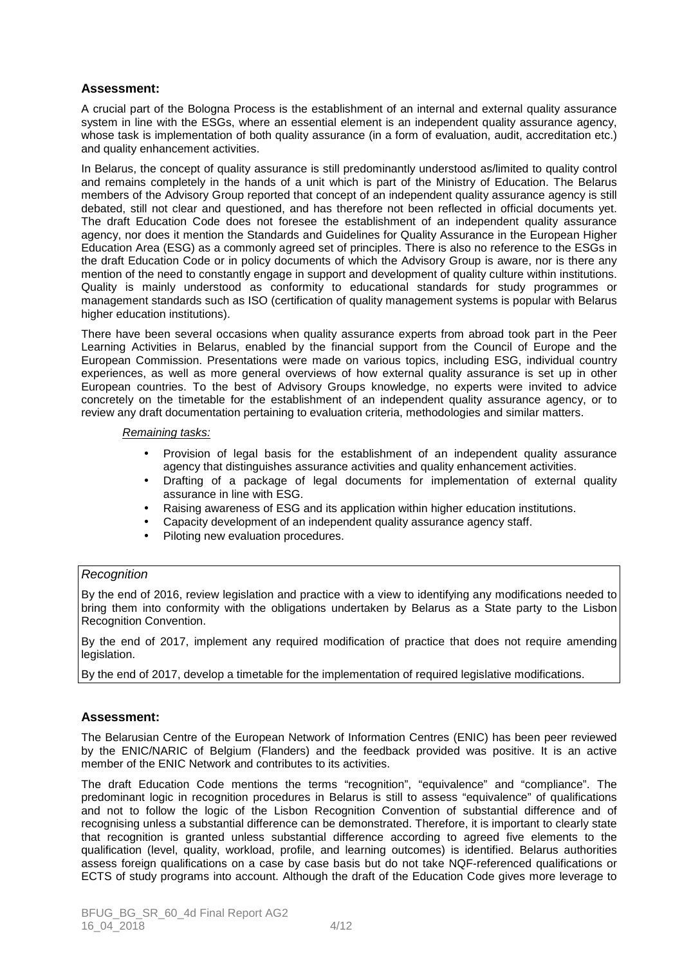# **Assessment:**

A crucial part of the Bologna Process is the establishment of an internal and external quality assurance system in line with the ESGs, where an essential element is an independent quality assurance agency, whose task is implementation of both quality assurance (in a form of evaluation, audit, accreditation etc.) and quality enhancement activities.

In Belarus, the concept of quality assurance is still predominantly understood as/limited to quality control and remains completely in the hands of a unit which is part of the Ministry of Education. The Belarus members of the Advisory Group reported that concept of an independent quality assurance agency is still debated, still not clear and questioned, and has therefore not been reflected in official documents yet. The draft Education Code does not foresee the establishment of an independent quality assurance agency, nor does it mention the Standards and Guidelines for Quality Assurance in the European Higher Education Area (ESG) as a commonly agreed set of principles. There is also no reference to the ESGs in the draft Education Code or in policy documents of which the Advisory Group is aware, nor is there any mention of the need to constantly engage in support and development of quality culture within institutions. Quality is mainly understood as conformity to educational standards for study programmes or management standards such as ISO (certification of quality management systems is popular with Belarus higher education institutions).

There have been several occasions when quality assurance experts from abroad took part in the Peer Learning Activities in Belarus, enabled by the financial support from the Council of Europe and the European Commission. Presentations were made on various topics, including ESG, individual country experiences, as well as more general overviews of how external quality assurance is set up in other European countries. To the best of Advisory Groups knowledge, no experts were invited to advice concretely on the timetable for the establishment of an independent quality assurance agency, or to review any draft documentation pertaining to evaluation criteria, methodologies and similar matters.

#### Remaining tasks:

- Provision of legal basis for the establishment of an independent quality assurance agency that distinguishes assurance activities and quality enhancement activities.
- Drafting of a package of legal documents for implementation of external quality assurance in line with ESG.
- Raising awareness of ESG and its application within higher education institutions.
- Capacity development of an independent quality assurance agency staff.
- Piloting new evaluation procedures.

### **Recognition**

By the end of 2016, review legislation and practice with a view to identifying any modifications needed to bring them into conformity with the obligations undertaken by Belarus as a State party to the Lisbon Recognition Convention.

By the end of 2017, implement any required modification of practice that does not require amending legislation.

By the end of 2017, develop a timetable for the implementation of required legislative modifications.

## **Assessment:**

The Belarusian Centre of the European Network of Information Centres (ENIC) has been peer reviewed by the ENIC/NARIC of Belgium (Flanders) and the feedback provided was positive. It is an active member of the ENIC Network and contributes to its activities.

The draft Education Code mentions the terms "recognition", "equivalence" and "compliance". The predominant logic in recognition procedures in Belarus is still to assess "equivalence" of qualifications and not to follow the logic of the Lisbon Recognition Convention of substantial difference and of recognising unless a substantial difference can be demonstrated. Therefore, it is important to clearly state that recognition is granted unless substantial difference according to agreed five elements to the qualification (level, quality, workload, profile, and learning outcomes) is identified. Belarus authorities assess foreign qualifications on a case by case basis but do not take NQF-referenced qualifications or ECTS of study programs into account. Although the draft of the Education Code gives more leverage to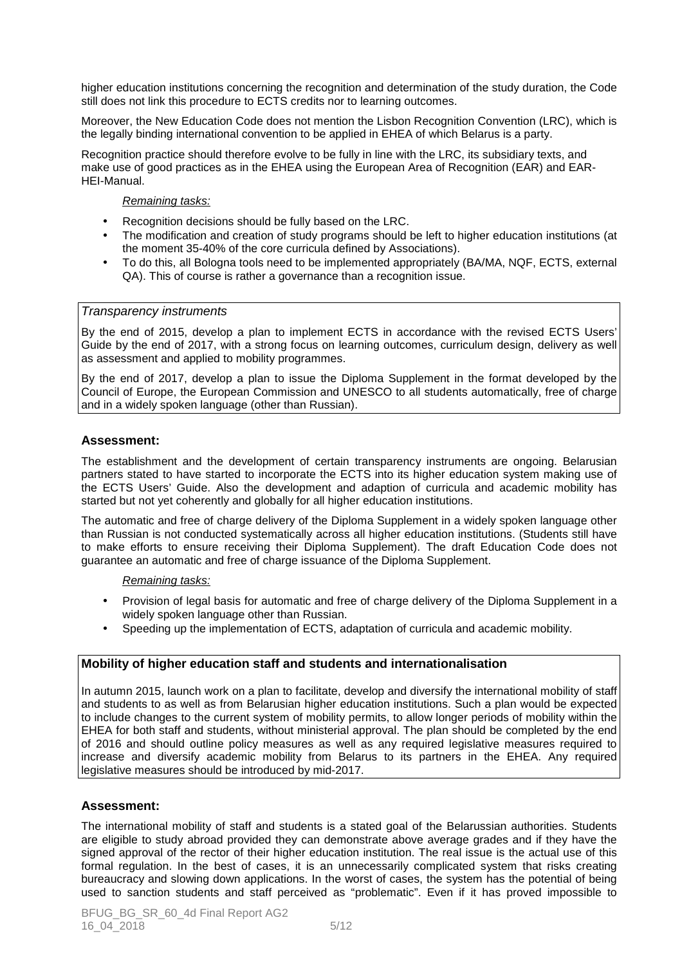higher education institutions concerning the recognition and determination of the study duration, the Code still does not link this procedure to ECTS credits nor to learning outcomes.

Moreover, the New Education Code does not mention the Lisbon Recognition Convention (LRC), which is the legally binding international convention to be applied in EHEA of which Belarus is a party.

Recognition practice should therefore evolve to be fully in line with the LRC, its subsidiary texts, and make use of good practices as in the EHEA using the European Area of Recognition (EAR) and EAR-HEI-Manual.

#### Remaining tasks:

- Recognition decisions should be fully based on the LRC.
- The modification and creation of study programs should be left to higher education institutions (at the moment 35-40% of the core curricula defined by Associations).
- To do this, all Bologna tools need to be implemented appropriately (BA/MA, NQF, ECTS, external QA). This of course is rather a governance than a recognition issue.

#### Transparency instruments

By the end of 2015, develop a plan to implement ECTS in accordance with the revised ECTS Users' Guide by the end of 2017, with a strong focus on learning outcomes, curriculum design, delivery as well as assessment and applied to mobility programmes.

By the end of 2017, develop a plan to issue the Diploma Supplement in the format developed by the Council of Europe, the European Commission and UNESCO to all students automatically, free of charge and in a widely spoken language (other than Russian).

### **Assessment:**

The establishment and the development of certain transparency instruments are ongoing. Belarusian partners stated to have started to incorporate the ECTS into its higher education system making use of the ECTS Users' Guide. Also the development and adaption of curricula and academic mobility has started but not yet coherently and globally for all higher education institutions.

The automatic and free of charge delivery of the Diploma Supplement in a widely spoken language other than Russian is not conducted systematically across all higher education institutions. (Students still have to make efforts to ensure receiving their Diploma Supplement). The draft Education Code does not guarantee an automatic and free of charge issuance of the Diploma Supplement.

#### Remaining tasks:

- Provision of legal basis for automatic and free of charge delivery of the Diploma Supplement in a widely spoken language other than Russian.
- Speeding up the implementation of ECTS, adaptation of curricula and academic mobility.

### **Mobility of higher education staff and students and internationalisation**

In autumn 2015, launch work on a plan to facilitate, develop and diversify the international mobility of staff and students to as well as from Belarusian higher education institutions. Such a plan would be expected to include changes to the current system of mobility permits, to allow longer periods of mobility within the EHEA for both staff and students, without ministerial approval. The plan should be completed by the end of 2016 and should outline policy measures as well as any required legislative measures required to increase and diversify academic mobility from Belarus to its partners in the EHEA. Any required legislative measures should be introduced by mid-2017.

### **Assessment:**

The international mobility of staff and students is a stated goal of the Belarussian authorities. Students are eligible to study abroad provided they can demonstrate above average grades and if they have the signed approval of the rector of their higher education institution. The real issue is the actual use of this formal regulation. In the best of cases, it is an unnecessarily complicated system that risks creating bureaucracy and slowing down applications. In the worst of cases, the system has the potential of being used to sanction students and staff perceived as "problematic". Even if it has proved impossible to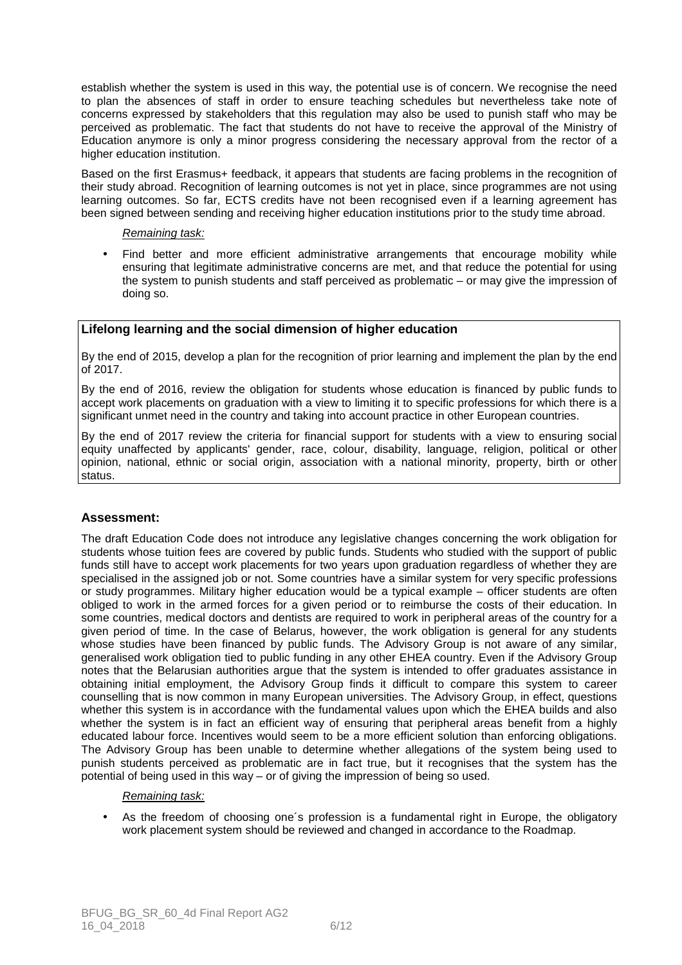establish whether the system is used in this way, the potential use is of concern. We recognise the need to plan the absences of staff in order to ensure teaching schedules but nevertheless take note of concerns expressed by stakeholders that this regulation may also be used to punish staff who may be perceived as problematic. The fact that students do not have to receive the approval of the Ministry of Education anymore is only a minor progress considering the necessary approval from the rector of a higher education institution.

Based on the first Erasmus+ feedback, it appears that students are facing problems in the recognition of their study abroad. Recognition of learning outcomes is not yet in place, since programmes are not using learning outcomes. So far, ECTS credits have not been recognised even if a learning agreement has been signed between sending and receiving higher education institutions prior to the study time abroad.

#### Remaining task:

Find better and more efficient administrative arrangements that encourage mobility while ensuring that legitimate administrative concerns are met, and that reduce the potential for using the system to punish students and staff perceived as problematic – or may give the impression of doing so.

## **Lifelong learning and the social dimension of higher education**

By the end of 2015, develop a plan for the recognition of prior learning and implement the plan by the end of 2017.

By the end of 2016, review the obligation for students whose education is financed by public funds to accept work placements on graduation with a view to limiting it to specific professions for which there is a significant unmet need in the country and taking into account practice in other European countries.

By the end of 2017 review the criteria for financial support for students with a view to ensuring social equity unaffected by applicants' gender, race, colour, disability, language, religion, political or other opinion, national, ethnic or social origin, association with a national minority, property, birth or other status.

## **Assessment:**

The draft Education Code does not introduce any legislative changes concerning the work obligation for students whose tuition fees are covered by public funds. Students who studied with the support of public funds still have to accept work placements for two years upon graduation regardless of whether they are specialised in the assigned job or not. Some countries have a similar system for very specific professions or study programmes. Military higher education would be a typical example – officer students are often obliged to work in the armed forces for a given period or to reimburse the costs of their education. In some countries, medical doctors and dentists are required to work in peripheral areas of the country for a given period of time. In the case of Belarus, however, the work obligation is general for any students whose studies have been financed by public funds. The Advisory Group is not aware of any similar, generalised work obligation tied to public funding in any other EHEA country. Even if the Advisory Group notes that the Belarusian authorities argue that the system is intended to offer graduates assistance in obtaining initial employment, the Advisory Group finds it difficult to compare this system to career counselling that is now common in many European universities. The Advisory Group, in effect, questions whether this system is in accordance with the fundamental values upon which the EHEA builds and also whether the system is in fact an efficient way of ensuring that peripheral areas benefit from a highly educated labour force. Incentives would seem to be a more efficient solution than enforcing obligations. The Advisory Group has been unable to determine whether allegations of the system being used to punish students perceived as problematic are in fact true, but it recognises that the system has the potential of being used in this way – or of giving the impression of being so used.

#### Remaining task:

• As the freedom of choosing one´s profession is a fundamental right in Europe, the obligatory work placement system should be reviewed and changed in accordance to the Roadmap.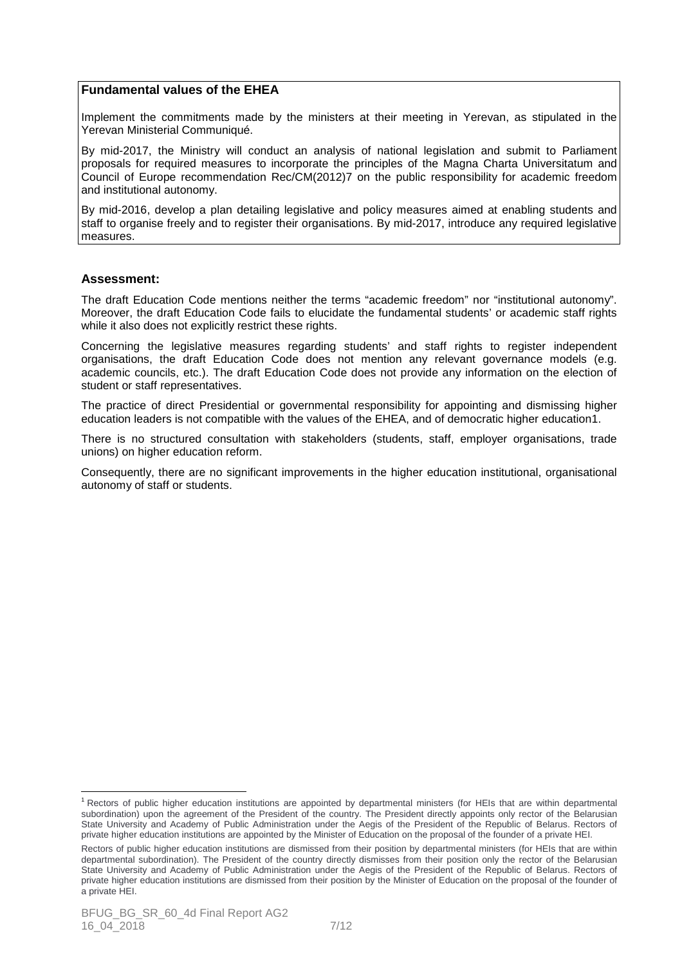## **Fundamental values of the EHEA**

Implement the commitments made by the ministers at their meeting in Yerevan, as stipulated in the Yerevan Ministerial Communiqué.

By mid-2017, the Ministry will conduct an analysis of national legislation and submit to Parliament proposals for required measures to incorporate the principles of the Magna Charta Universitatum and Council of Europe recommendation Rec/CM(2012)7 on the public responsibility for academic freedom and institutional autonomy.

By mid-2016, develop a plan detailing legislative and policy measures aimed at enabling students and staff to organise freely and to register their organisations. By mid-2017, introduce any required legislative measures.

## **Assessment:**

The draft Education Code mentions neither the terms "academic freedom" nor "institutional autonomy". Moreover, the draft Education Code fails to elucidate the fundamental students' or academic staff rights while it also does not explicitly restrict these rights.

Concerning the legislative measures regarding students' and staff rights to register independent organisations, the draft Education Code does not mention any relevant governance models (e.g. academic councils, etc.). The draft Education Code does not provide any information on the election of student or staff representatives.

The practice of direct Presidential or governmental responsibility for appointing and dismissing higher education leaders is not compatible with the values of the EHEA, and of democratic higher education1.

There is no structured consultation with stakeholders (students, staff, employer organisations, trade unions) on higher education reform.

Consequently, there are no significant improvements in the higher education institutional, organisational autonomy of staff or students.

 $\overline{a}$ 

<sup>&</sup>lt;sup>1</sup> Rectors of public higher education institutions are appointed by departmental ministers (for HEIs that are within departmental subordination) upon the agreement of the President of the country. The President directly appoints only rector of the Belarusian State University and Academy of Public Administration under the Aegis of the President of the Republic of Belarus. Rectors of private higher education institutions are appointed by the Minister of Education on the proposal of the founder of a private HEI.

Rectors of public higher education institutions are dismissed from their position by departmental ministers (for HEIs that are within departmental subordination). The President of the country directly dismisses from their position only the rector of the Belarusian State University and Academy of Public Administration under the Aegis of the President of the Republic of Belarus. Rectors of private higher education institutions are dismissed from their position by the Minister of Education on the proposal of the founder of a private HEI.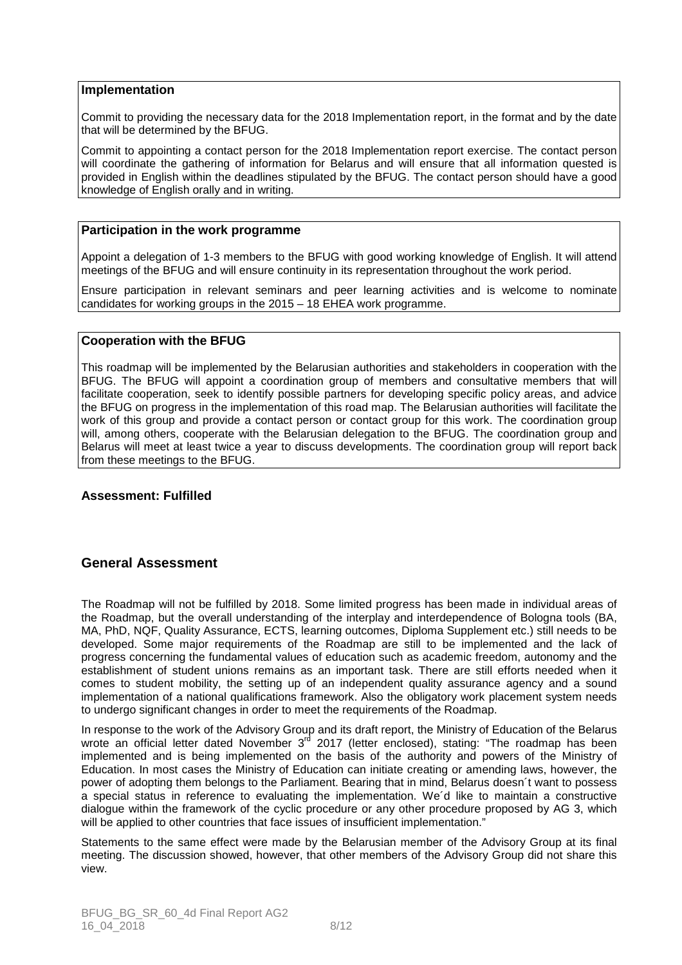### **Implementation**

Commit to providing the necessary data for the 2018 Implementation report, in the format and by the date that will be determined by the BFUG.

Commit to appointing a contact person for the 2018 Implementation report exercise. The contact person will coordinate the gathering of information for Belarus and will ensure that all information quested is provided in English within the deadlines stipulated by the BFUG. The contact person should have a good knowledge of English orally and in writing.

## **Participation in the work programme**

Appoint a delegation of 1-3 members to the BFUG with good working knowledge of English. It will attend meetings of the BFUG and will ensure continuity in its representation throughout the work period.

Ensure participation in relevant seminars and peer learning activities and is welcome to nominate candidates for working groups in the 2015 – 18 EHEA work programme.

## **Cooperation with the BFUG**

This roadmap will be implemented by the Belarusian authorities and stakeholders in cooperation with the BFUG. The BFUG will appoint a coordination group of members and consultative members that will facilitate cooperation, seek to identify possible partners for developing specific policy areas, and advice the BFUG on progress in the implementation of this road map. The Belarusian authorities will facilitate the work of this group and provide a contact person or contact group for this work. The coordination group will, among others, cooperate with the Belarusian delegation to the BFUG. The coordination group and Belarus will meet at least twice a year to discuss developments. The coordination group will report back from these meetings to the BFUG.

## **Assessment: Fulfilled**

## **General Assessment**

The Roadmap will not be fulfilled by 2018. Some limited progress has been made in individual areas of the Roadmap, but the overall understanding of the interplay and interdependence of Bologna tools (BA, MA, PhD, NQF, Quality Assurance, ECTS, learning outcomes, Diploma Supplement etc.) still needs to be developed. Some major requirements of the Roadmap are still to be implemented and the lack of progress concerning the fundamental values of education such as academic freedom, autonomy and the establishment of student unions remains as an important task. There are still efforts needed when it comes to student mobility, the setting up of an independent quality assurance agency and a sound implementation of a national qualifications framework. Also the obligatory work placement system needs to undergo significant changes in order to meet the requirements of the Roadmap.

In response to the work of the Advisory Group and its draft report, the Ministry of Education of the Belarus wrote an official letter dated November 3<sup>rd</sup> 2017 (letter enclosed), stating: "The roadmap has been implemented and is being implemented on the basis of the authority and powers of the Ministry of Education. In most cases the Ministry of Education can initiate creating or amending laws, however, the power of adopting them belongs to the Parliament. Bearing that in mind, Belarus doesn´t want to possess a special status in reference to evaluating the implementation. We´d like to maintain a constructive dialogue within the framework of the cyclic procedure or any other procedure proposed by AG 3, which will be applied to other countries that face issues of insufficient implementation."

Statements to the same effect were made by the Belarusian member of the Advisory Group at its final meeting. The discussion showed, however, that other members of the Advisory Group did not share this view.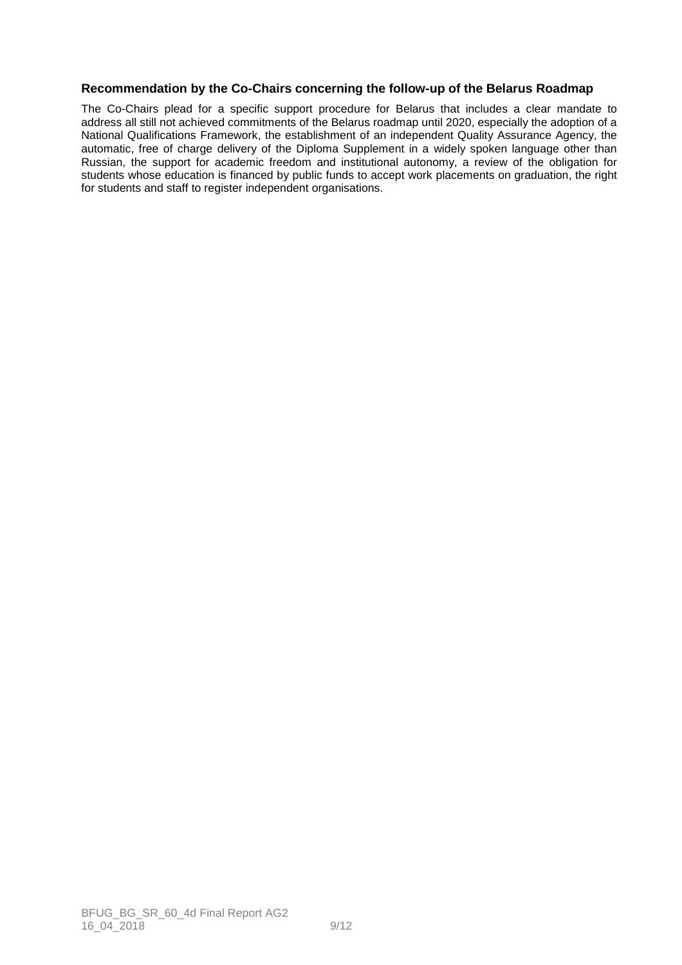## **Recommendation by the Co-Chairs concerning the follow-up of the Belarus Roadmap**

The Co-Chairs plead for a specific support procedure for Belarus that includes a clear mandate to address all still not achieved commitments of the Belarus roadmap until 2020, especially the adoption of a National Qualifications Framework, the establishment of an independent Quality Assurance Agency, the automatic, free of charge delivery of the Diploma Supplement in a widely spoken language other than Russian, the support for academic freedom and institutional autonomy, a review of the obligation for students whose education is financed by public funds to accept work placements on graduation, the right for students and staff to register independent organisations.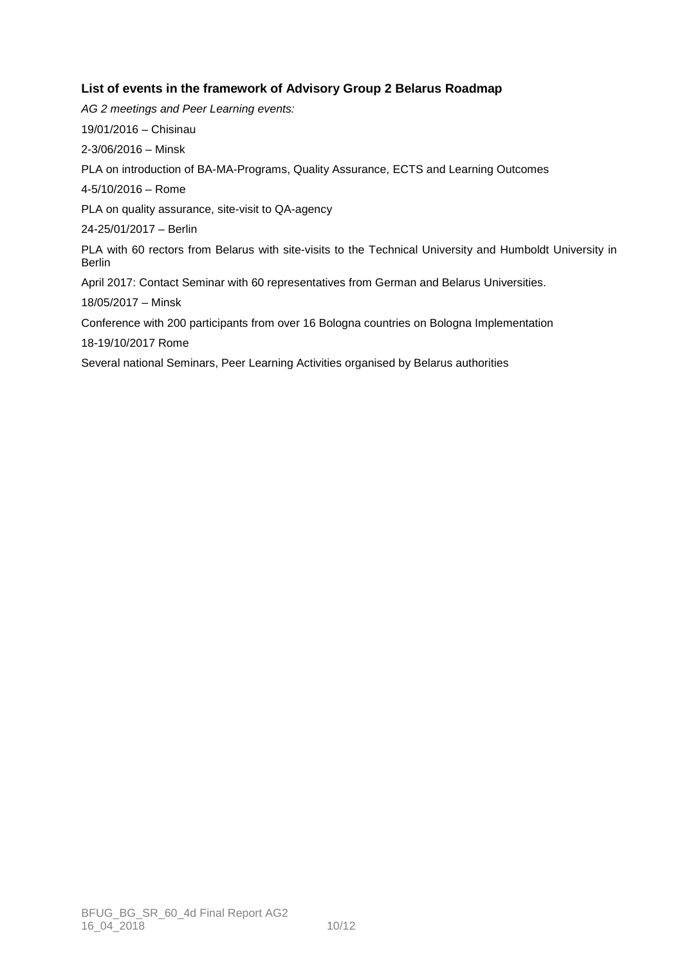# **List of events in the framework of Advisory Group 2 Belarus Roadmap**

AG 2 meetings and Peer Learning events: 19/01/2016 – Chisinau 2-3/06/2016 – Minsk PLA on introduction of BA-MA-Programs, Quality Assurance, ECTS and Learning Outcomes 4-5/10/2016 – Rome PLA on quality assurance, site-visit to QA-agency 24-25/01/2017 – Berlin PLA with 60 rectors from Belarus with site-visits to the Technical University and Humboldt University in Berlin April 2017: Contact Seminar with 60 representatives from German and Belarus Universities. 18/05/2017 – Minsk Conference with 200 participants from over 16 Bologna countries on Bologna Implementation 18-19/10/2017 Rome Several national Seminars, Peer Learning Activities organised by Belarus authorities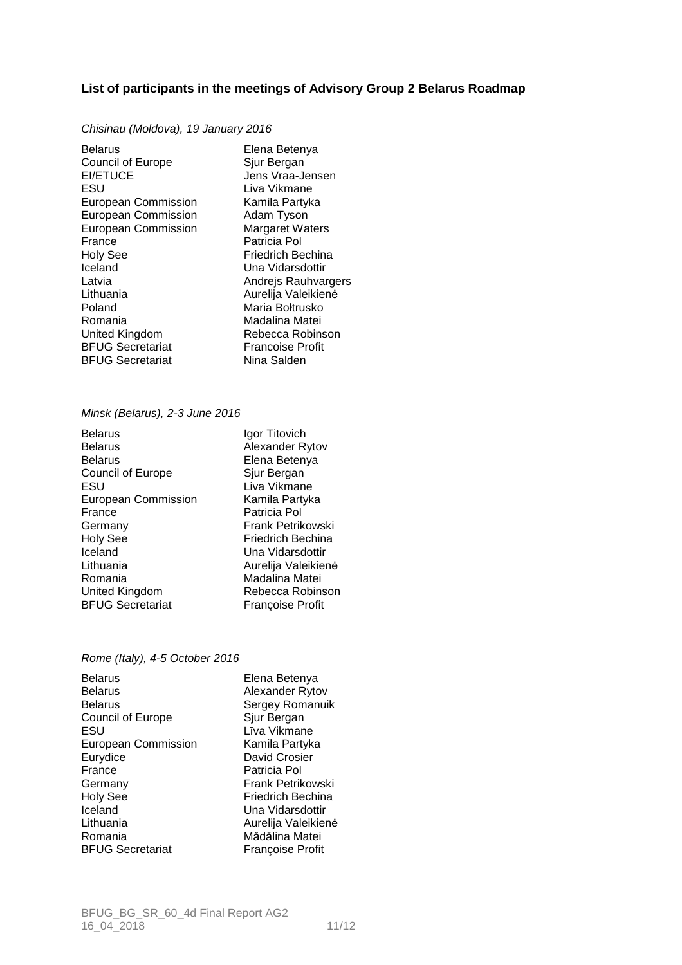## **List of participants in the meetings of Advisory Group 2 Belarus Roadmap**

#### Chisinau (Moldova), 19 January 2016

Belarus Elena Betenya Council of Europe Sjur Bergan<br>EI/ETUCE Jens Vraa-J ESU Liva Vikmane European Commission Kamila Partyka European Commission Adam Tyson European Commission Margaret Waters France Patricia Pol Holy See Friedrich Bechina Iceland Una Vidarsdottir Latvia **Andrejs Rauhvargers**<br>
Lithuania **Aureliia Valeikien**ė Poland Maria Bołtrusko<br>Romania Madalina Matei Romania<br>
United Kingdom<br>
Rebecca Robins **BFUG Secretariat** BFUG Secretariat Nina Salden

Jens Vraa-Jensen Aurelija Valeikienė Rebecca Robinson<br>Francoise Profit

#### Minsk (Belarus), 2-3 June 2016

| <b>Belarus</b>             | Igor Titovich       |
|----------------------------|---------------------|
| <b>Belarus</b>             | Alexander Rytov     |
| <b>Belarus</b>             | Elena Betenya       |
| <b>Council of Europe</b>   | Sjur Bergan         |
| ESU                        | Liva Vikmane        |
| <b>European Commission</b> | Kamila Partyka      |
| France                     | Patricia Pol        |
| Germany                    | Frank Petrikowski   |
| <b>Holy See</b>            | Friedrich Bechina   |
| Iceland                    | Una Vidarsdottir    |
| Lithuania                  | Aurelija Valeikienė |
| Romania                    | Madalina Matei      |
| United Kingdom             | Rebecca Robinson    |
| <b>BFUG Secretariat</b>    | Francoise Profit    |

#### Rome (Italy), 4-5 October 2016

| <b>Belarus</b>             | Elena Betenya           |
|----------------------------|-------------------------|
| <b>Belarus</b>             | Alexander Rytov         |
| <b>Belarus</b>             | Sergey Romanuik         |
| <b>Council of Europe</b>   | Sjur Bergan             |
| ESU                        | Līva Vikmane            |
| <b>European Commission</b> | Kamila Partyka          |
| Eurydice                   | David Crosier           |
| France                     | Patricia Pol            |
| Germany                    | Frank Petrikowski       |
| <b>Holy See</b>            | Friedrich Bechina       |
| Iceland                    | Una Vidarsdottir        |
| Lithuania                  | Aurelija Valeikienė     |
| Romania                    | Mădălina Matei          |
| <b>BFUG Secretariat</b>    | <b>Françoise Profit</b> |